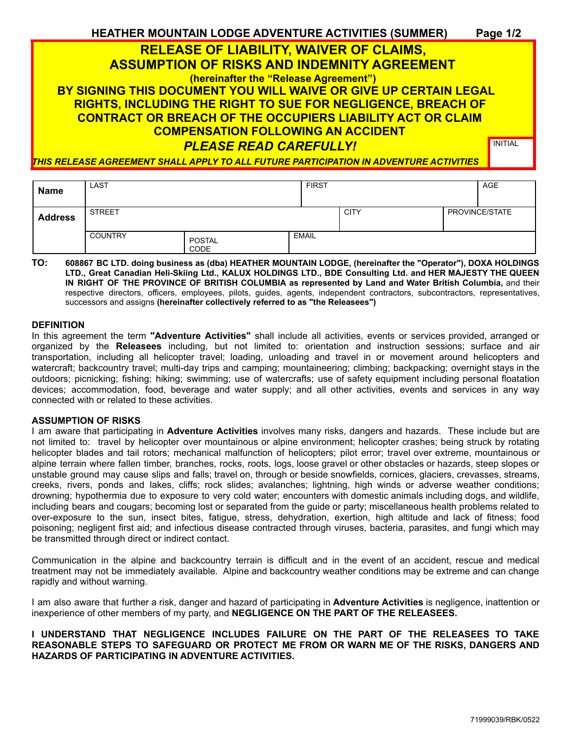| <b>HEATHER MOUNTAIN LODGE ADVENTURE ACTIVITIES (SUMMER)</b>                                   | Page 1/2       |  |  |
|-----------------------------------------------------------------------------------------------|----------------|--|--|
| <b>RELEASE OF LIABILITY, WAIVER OF CLAIMS,</b>                                                |                |  |  |
| <b>ASSUMPTION OF RISKS AND INDEMNITY AGREEMENT</b>                                            |                |  |  |
| (hereinafter the "Release Agreement")                                                         |                |  |  |
| BY SIGNING THIS DOCUMENT YOU WILL WAIVE OR GIVE UP CERTAIN LEGAL                              |                |  |  |
| <b>RIGHTS, INCLUDING THE RIGHT TO SUE FOR NEGLIGENCE, BREACH OF</b>                           |                |  |  |
| <b>CONTRACT OR BREACH OF THE OCCUPIERS LIABILITY ACT OR CLAIM</b>                             |                |  |  |
| <b>COMPENSATION FOLLOWING AN ACCIDENT</b>                                                     |                |  |  |
| <b>PLEASE READ CAREFULLY!</b>                                                                 | <b>INITIAL</b> |  |  |
| <u>THIS RELEASE AGREEMENT SHALL APPLY TO ALL FUTURE PARTICIPATION IN ADVENTURE ACTIVITIES</u> |                |  |  |

| <b>Name</b>    | LAST           |                | <b>FIRST</b> |             | AGE            |
|----------------|----------------|----------------|--------------|-------------|----------------|
| <b>Address</b> | <b>STREET</b>  |                |              | <b>CITY</b> | PROVINCE/STATE |
|                | <b>COUNTRY</b> | POSTAL<br>CODE | <b>EMAIL</b> |             |                |

**TO: 608867 BC LTD. doing business as (dba) HEATHER MOUNTAIN LODGE, (hereinafter the "Operator"), DOXA HOLDINGS LTD., Great Canadian Heli-Skiing Ltd., KALUX HOLDINGS LTD., BDE Consulting Ltd. and HER MAJESTY THE QUEEN IN RIGHT OF THE PROVINCE OF BRITISH COLUMBIA as represented by Land and Water British Columbia,** and their respective directors, officers, employees, pilots, guides, agents, independent contractors, subcontractors, representatives, successors and assigns **(hereinafter collectively referred to as "the Releasees")**

## **DEFINITION**

In this agreement the term **"Adventure Activities"** shall include all activities, events or services provided, arranged or organized by the **Releasees** including, but not limited to: orientation and instruction sessions; surface and air transportation, including all helicopter travel; loading, unloading and travel in or movement around helicopters and watercraft; backcountry travel; multi-day trips and camping; mountaineering; climbing; backpacking; overnight stays in the outdoors; picnicking; fishing; hiking; swimming; use of watercrafts; use of safety equipment including personal floatation devices; accommodation, food, beverage and water supply; and all other activities, events and services in any way connected with or related to these activities.

### **ASSUMPTION OF RISKS**

I am aware that participating in **Adventure Activities** involves many risks, dangers and hazards. These include but are not limited to: travel by helicopter over mountainous or alpine environment; helicopter crashes; being struck by rotating helicopter blades and tail rotors; mechanical malfunction of helicopters; pilot error; travel over extreme, mountainous or alpine terrain where fallen timber, branches, rocks, roots, logs, loose gravel or other obstacles or hazards, steep slopes or unstable ground may cause slips and falls; travel on, through or beside snowfields, cornices, glaciers, crevasses, streams, creeks, rivers, ponds and lakes, cliffs; rock slides; avalanches; lightning, high winds or adverse weather conditions; drowning; hypothermia due to exposure to very cold water; encounters with domestic animals including dogs, and wildlife, including bears and cougars; becoming lost or separated from the guide or party; miscellaneous health problems related to over-exposure to the sun, insect bites, fatigue, stress, dehydration, exertion, high altitude and lack of fitness; food poisoning; negligent first aid; and infectious disease contracted through viruses, bacteria, parasites, and fungi which may be transmitted through direct or indirect contact.

Communication in the alpine and backcountry terrain is difficult and in the event of an accident, rescue and medical treatment may not be immediately available. Alpine and backcountry weather conditions may be extreme and can change rapidly and without warning.

I am also aware that further a risk, danger and hazard of participating in **Adventure Activities** is negligence, inattention or inexperience of other members of my party, and **NEGLIGENCE ON THE PART OF THE RELEASEES.**

## **I UNDERSTAND THAT NEGLIGENCE INCLUDES FAILURE ON THE PART OF THE RELEASEES TO TAKE REASONABLE STEPS TO SAFEGUARD OR PROTECT ME FROM OR WARN ME OF THE RISKS, DANGERS AND HAZARDS OF PARTICIPATING IN ADVENTURE ACTIVITIES.**